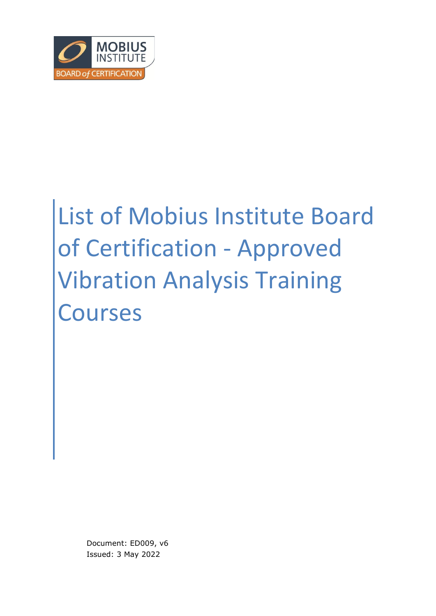

# List of Mobius Institute Board of Certification - Approved Vibration Analysis Training Courses

Document: ED009, v6 Issued: 3 May 2022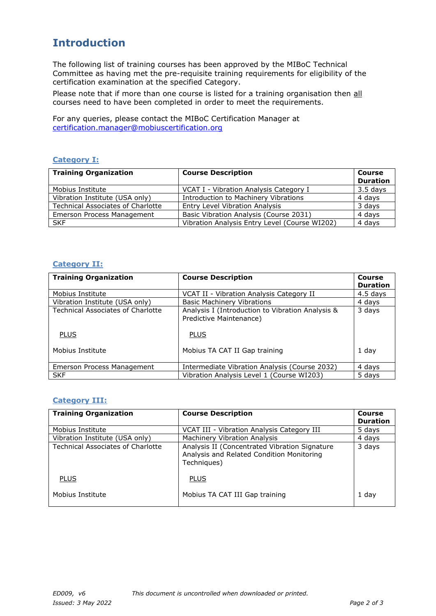## **Introduction**

The following list of training courses has been approved by the MIBoC Technical Committee as having met the pre-requisite training requirements for eligibility of the certification examination at the specified Category.

Please note that if more than one course is listed for a training organisation then all courses need to have been completed in order to meet the requirements.

For any queries, please contact the MIBoC Certification Manager at [certification.manager@mobiuscertification.org](mailto:certification.manager@mobiuscertification.org)

#### **Category I:**

| <b>Training Organization</b>             | <b>Course Description</b>                     | <b>Course</b><br><b>Duration</b> |
|------------------------------------------|-----------------------------------------------|----------------------------------|
| Mobius Institute                         | VCAT I - Vibration Analysis Category I        | $3.5$ days                       |
| Vibration Institute (USA only)           | Introduction to Machinery Vibrations          | 4 days                           |
| <b>Technical Associates of Charlotte</b> | <b>Entry Level Vibration Analysis</b>         | 3 days                           |
| Emerson Process Management               | Basic Vibration Analysis (Course 2031)        | 4 days                           |
| <b>SKF</b>                               | Vibration Analysis Entry Level (Course WI202) | 4 days                           |

#### **Category II:**

| <b>Training Organization</b>             | <b>Course Description</b>                                                   | <b>Course</b><br><b>Duration</b> |
|------------------------------------------|-----------------------------------------------------------------------------|----------------------------------|
| Mobius Institute                         | VCAT II - Vibration Analysis Category II                                    | 4.5 days                         |
| Vibration Institute (USA only)           | <b>Basic Machinery Vibrations</b>                                           | 4 days                           |
| <b>Technical Associates of Charlotte</b> | Analysis I (Introduction to Vibration Analysis &<br>Predictive Maintenance) | 3 days                           |
| <b>PLUS</b>                              | <b>PLUS</b>                                                                 |                                  |
| Mobius Institute                         | Mobius TA CAT II Gap training                                               | 1 day                            |
| Emerson Process Management               | Intermediate Vibration Analysis (Course 2032)                               | 4 days                           |
| <b>SKF</b>                               | Vibration Analysis Level 1 (Course WI203)                                   | 5 days                           |

#### **Category III:**

| <b>Training Organization</b>             | <b>Course Description</b>                                                                                 | Course<br><b>Duration</b> |
|------------------------------------------|-----------------------------------------------------------------------------------------------------------|---------------------------|
| Mobius Institute                         | VCAT III - Vibration Analysis Category III                                                                | 5 days                    |
| Vibration Institute (USA only)           | <b>Machinery Vibration Analysis</b>                                                                       | 4 days                    |
| <b>Technical Associates of Charlotte</b> | Analysis II (Concentrated Vibration Signature<br>Analysis and Related Condition Monitoring<br>Techniques) | 3 days                    |
| <b>PLUS</b>                              | <b>PLUS</b>                                                                                               |                           |
| Mobius Institute                         | Mobius TA CAT III Gap training                                                                            | 1 day                     |